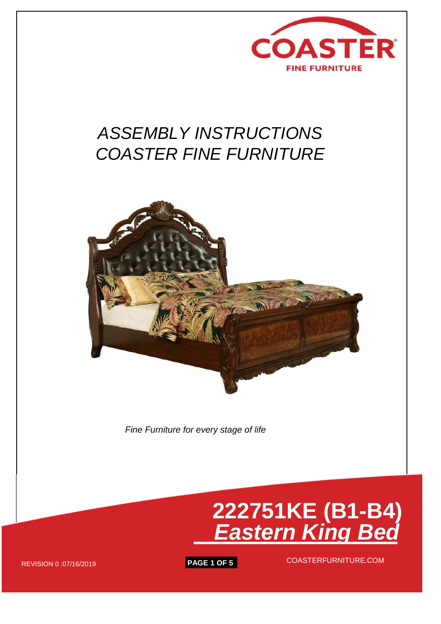

# *COASTER FINE FURNITURE ASSEMBLY INSTRUCTIONS*



 *Fine Furniture for every stage of life*



REVISION 0 :07 /16/2019 **PAGE 1 OF 5** COASTERFURNITURE.COM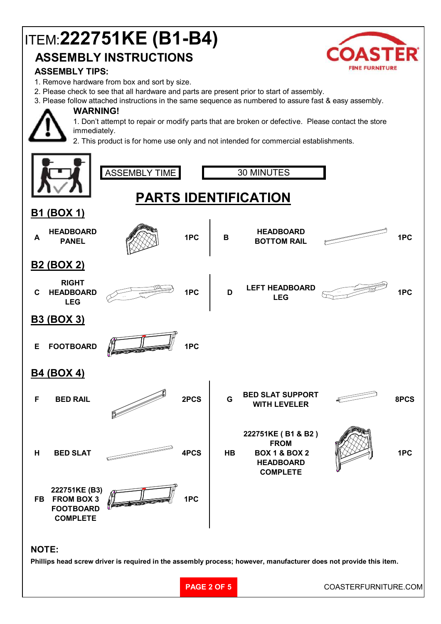# **ITEM:222751KE (B1-B4)** ASSEMBLY INSTRUCTIONS



### ASSEMBLY TIPS:

- 1. Remove hardware from box and sort by size.
- 2. Please check to see that all hardware and parts are present prior to start of assembly.
- WARNING! 3. Please follow attached instructions in the same sequence as numbered to assure fast & easy assembly.



1. Don't attempt to repair or modify parts that are broken or defective. Please contact the store immediately.

2. This product is for home use only and not intended for commercial establishments.



PAGE 2 OF 5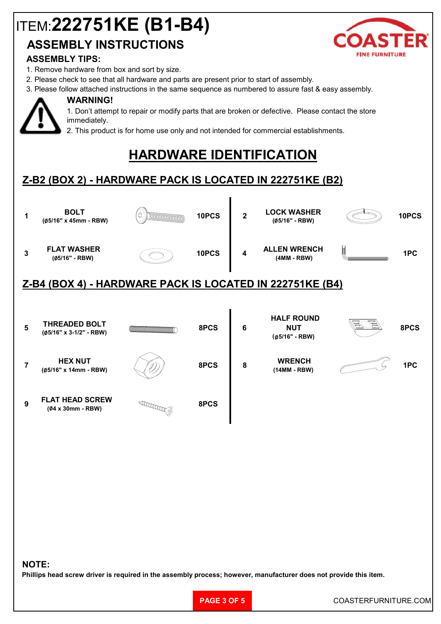# ITEM:**222751KE (B1-B4)**

## **ASSEMBLY INSTRUCTIONS**

### **ASSEMBLY TIPS:**

- 1. Remove hardware from box and sort by size.
- 2. Please check to see that all hardware and parts are present prior to start of assembly.
- 3. Please follow attached instructions in the same sequence as numbered to assure fast & easy assembly.



#### **WARNING!**

1. Don't attempt to repair or modify parts that are broken or defective. Please contact the store immediately.

2. This product is for home use only and not intended for commercial establishments.

## **HARDWARE IDENTIFICATION**

## **Z-B2 (BOX 2) - HARDWARE PACK IS LOCATED IN 222751KE (B2)**

|                                                          | <b>BOLT</b><br>(05/16" x 45mm - RBW)            | <b>ANNIMATION IN THE SECOND CONTROL</b>           | 10PCS | $\overline{2}$ | <b>LOCK WASHER</b><br>(Ø5/16" - RBW)              |  | 10PCS |
|----------------------------------------------------------|-------------------------------------------------|---------------------------------------------------|-------|----------------|---------------------------------------------------|--|-------|
| 3                                                        | <b>FLAT WASHER</b><br>(Ø5/16" - RBW)            |                                                   | 10PCS | 4              | <b>ALLEN WRENCH</b><br>$(4MM - RBW)$              |  | 1PC   |
| Z-B4 (BOX 4) - HARDWARE PACK IS LOCATED IN 222751KE (B4) |                                                 |                                                   |       |                |                                                   |  |       |
|                                                          |                                                 |                                                   |       |                |                                                   |  |       |
| 5                                                        | <b>THREADED BOLT</b><br>(Ø5/16" x 3-1/2" - RBW) | <u> Million Million (Million Million Million)</u> | 8PCS  | 6              | <b>HALF ROUND</b><br><b>NUT</b><br>(ø5/16" - RBW) |  | 8PCS  |
|                                                          |                                                 |                                                   |       |                |                                                   |  |       |
| 7                                                        | <b>HEX NUT</b><br>(Ø5/16" x 14mm - RBW)         |                                                   | 8PCS  | 8              | <b>WRENCH</b><br>(14MM - RBW)                     |  | 1PC   |

#### **NOTE:**

**Phillips head screw driver is required in the assembly process; however, manufacturer does not provide this item.**

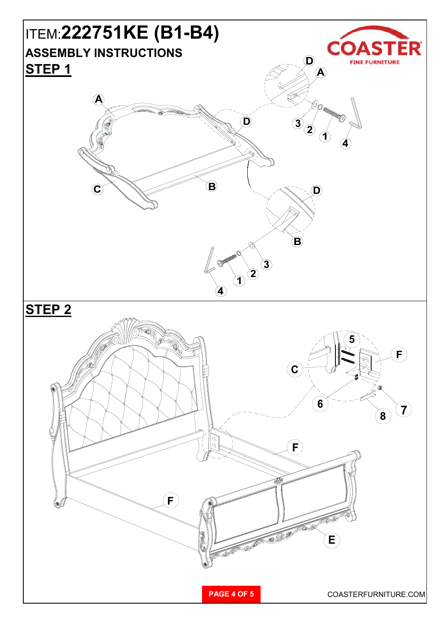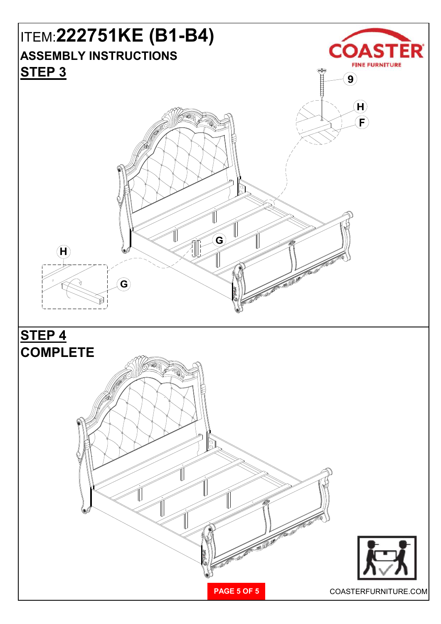